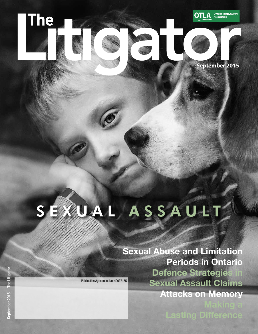# **September 2015**

# **BUAL ASSAULT**

**Sexual Abuse and Limitation Periods in Ontario Defence Strategies Sexual Assault Claims Attacks on Memory**

**Lasting Difference**

**The**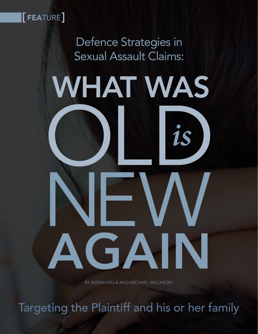

Defence Strategies in Sexual Assault Claims:

WHAT WAS

OLE) NEW *is* AGAIN

BY SUSAN VELLA AND MICHAEL WILCHESKY

Targeting the Plaintiff and his or her family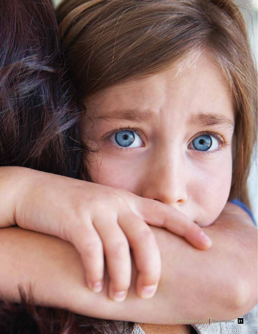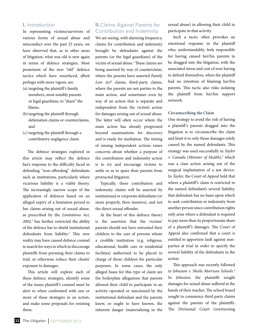#### I. Introduction

In representing victims/survivors of various forms of sexual abuse and misconduct over the past 25 years, we have observed that, as in other areas of litigation, what was old is new again in terms of defence strategies. Most prominent of the new "old" defence tactics which have resurfaced, albeit perhaps with more vigour, are:

- (a) targeting the plaintiff 's family members, most notably parents or legal guardians, to "share" the blame,
- (b) targeting the plaintiff through defamation claims or counterclaims, and
- (c) targeting the plaintiff through a contributory negligence claim.

The defence strategies explored in this article may reflect the defence bar's response to the difficulty faced in defending "non-offending" defendants such as institutions, particularly where vicarious liability is a viable theory. The increasingly narrow scope of the application of defences based on an alleged expiry of a limitation period to bar claims arising out of sexual abuse, as prescribed by the *Limitations Act, 2002,*<sup>1</sup> has further restricted the ability of the defence bar to shield institutional defendants from liability.<sup>2</sup> This new reality may have caused defence counsel to search for ways in which to discourage plaintiffs from pursuing their claims to trial, or otherwise reduce their clients' exposure to damages.

This article will explore each of these defence strategies, identify some of the issues plaintiff 's counsel must be alert to when confronted with one or more of these strategies in an action, and make some proposals for resisting them.

## II.Claims Against Parents for Contribution and Indemnity

We are seeing, with alarming frequency, claims for contribution and indemnity brought by defendants against the parents (or the legal guardians) of the victim of sexual abuse.3 These claims are being asserted by way of counterclaim, where the parents have asserted *Family Law Act*<sup>4</sup> claims, third-party claims, where the parents are not parties to the main action, and sometimes even by way of an action that is separate and independent from the victim's action for damages arising out of sexual abuse. The latter will often occur where the main action has already progressed beyond examinations for discovery and is ready for mediation. The timing of issuing independent actions raises concerns about whether a purpose of the contribution and indemnity action is to try and encourage victims to settle so as to spare their parents from protracted litigation.

Typically, these contribution and indemnity claims will be asserted by institutional or corporate defendants (or more properly, their insurers), and not the direct sexual offender.

At the heart of this defence theory is the assertion that the victims' parents should not have entrusted their children to the care of persons whom a credible institution (e.g. religious, educational, health care or residential facilities) authorized to be placed in charge of those children for particular purposes. In some cases, the only alleged bases for this type of claim are the boilerplate allegations that parents allowed their child to participate in an activity operated or sanctioned by the institutional defendant and the parents knew, or ought to have known, the inherent danger (materializing in the

sexual abuse) in allowing their child to participate in that activity.

Such a tactic often provokes an emotional response in the plaintiff who, understandably, feels responsible for having caused her/his parents to be dragged into the litigation, with the associated stress and cost of now having to defend themselves, when the plaintiff had no intention of blaming her/his parents. This tactic also risks isolating the plaintiff from her/his support network.

#### **Circumscribing the Claim**

One strategy to avoid the risk of having a plaintiff's parents dragged into the litigation is to circumscribe the claim and limit it to only those damages solely caused by the named defendants. This strategy was used successfully in *Taylor v. Canada (Minister of Health),*<sup>5</sup> which was a class action arising out of the surgical implantation of a jaw device. In *Taylor,* the Court of Appeal held that where a plaintiff's claim is restricted to the named defendant's several liability, that defendant has no basis upon which to seek contribution or indemnity from another person since contribution rights only arise where a defendant is required to pay more than its proportionate share of a plaintiff 's damages. The Court of Appeal also confirmed that a court is entitled to apportion fault against nonparties at trial in order to specify the several liability of the defendants in the action.

This approach was recently followed in *Johnston v. Sheila Morrison Schools.6*  In *Johnston,* the plaintiffs sought damages for sexual abuse suffered at the hands of their teacher. The school board sought to commence third party claims against the parents of the plaintiffs. The Divisional Court (overturning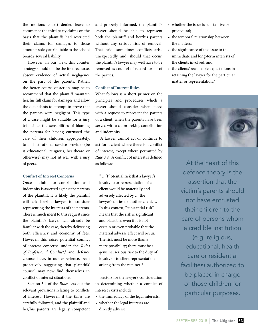the motions court) denied leave to commence the third party claims on the basis that the plaintiffs had restricted their claims for damages to those amounts solely attributable to the school board's several liability.

However, in our view, this counter strategy should not be the first recourse, absent evidence of actual negligence on the part of the parents. Rather, the better course of action may be to recommend that the plaintiff maintain her/his full claim for damages and allow the defendants to attempt to prove that the parents were negligent. This type of a case might be suitable for a jury trial since the sensibilities of blaming the parents for having entrusted the care of their children, appropriately, to an institutional service provider (be it educational, religious, healthcare or otherwise) may not sit well with a jury of peers.

#### **Conflict of Interest Concerns**

Once a claim for contribution and indemnity is asserted against the parents of the plaintiff, it is likely the plaintiff will ask her/his lawyer to consider representing the interests of the parents. There is much merit to this request since the plaintiff's lawyer will already be familiar with the case, thereby delivering both efficiency and economy of fees. However, this raises potential conflict of interest concerns under the *Rules of Professional Conduct,*<sup>7</sup> and defence counsel have, in our experience, been proactively suggesting that plaintiffs' counsel may now find themselves in conflict of interest situations.

Section 3.4 of the *Rules* sets out the relevant provisions relating to conflicts of interest. However, if the *Rules* are carefully followed, and the plaintiff and her/his parents are legally competent

and properly informed, the plaintiff 's lawyer should be able to represent both the plaintiff and her/his parents without any serious risk of removal. That said, sometimes conflicts arise unexpectedly and, should that occur, the plaintiff 's lawyer may well have to be removed as counsel of record for all of the parties.

#### **Conflict of Interest Rules**

What follows is a short primer on the principles and procedures which a lawyer should consider when faced with a request to represent the parents of a client, when the parents have been served with a claim seeking contribution and indemnity.

A lawyer cannot act or continue to act for a client where there is a conflict of interest, except where permitted by *Rule 3.4.* A conflict of interest is defined as follows:

"… [P]otential risk that a lawyer's loyalty to or representation of a client would be materially and adversely affected by … the lawyer's duties to another client…. In this context, "substantial risk" means that the risk is significant and plausible, even if it is not certain or even probable that the material adverse effect will occur. The risk must be more than a mere possibility; there must be a genuine, serious risk to the duty of loyalty or to client representation arising from the retainer."8

Factors for the lawyer's consideration in determining whether a conflict of interest exists include:

- the immediacy of the legal interests;
- whether the legal interests are directly adverse;
- whether the issue is substantive or procedural;
- the temporal relationship between the matters;
- the significance of the issue to the immediate and long-term interests of the clients involved; and
- the clients' reasonable expectations in retaining the lawyer for the particular matter or representation.<sup>9</sup>



At the heart of this defence theory is the assertion that the victim's parents should not have entrusted their children to the care of persons whom a credible institution (e.g. religious, educational, health care or residential facilities) authorized to be placed in charge of those children for particular purposes.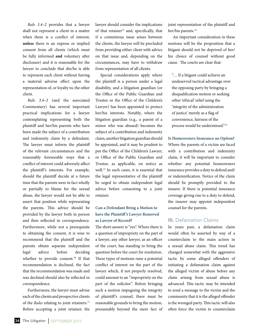*Rule 3.4–2* provides that a lawyer shall not represent a client in a matter when there is a conflict of interest, **unless** there is an express or implied consent from all clients (which must be fully informed **and** voluntary after disclosure) and it is reasonable for the lawyer to conclude that she/he is able to represent each client without having a material adverse effect upon the representation of, or loyalty to, the other client.

*Rule 3.4–2* (and the associated Commentary) has several important practical implications for a lawyer contemplating representing both the plaintiff and her/his parents who have been made the subject of a contribution and indemnity claim by a defendant. The lawyer must inform the plaintiff of the relevant circumstances and the reasonably foreseeable ways that a conflict of interest could adversely affect the plaintiff's interests. For example, should the plaintiff decide at a future time that the parents were in fact wholly or partially to blame for the sexual abuse, the lawyer would not be able to assert that position while representing the parents. This advice should be provided by the lawyer both in person and then reflected in correspondence. Furthermore, while not a prerequisite to obtaining the consent, it is wise to recommend that the plaintiff and the parents obtain separate independent legal advice before deciding whether to provide consent.<sup>10</sup> If that recommendation is declined, the fact that the recommendation was made and was declined should also be reflected in correspondence.

Furthermore, the lawyer must advise each of the clients and prospective clients of the *Rules* relating to joint retainers.<sup>11</sup> Before accepting a joint retainer, the lawyer should consider the implications of that retainer<sup>12</sup> and, specifically, that if a contentious issue arises between the clients, the lawyer will be precluded from providing either client with advice on that issue and, depending on the circumstances, may have to withdraw from representation of all clients.

Special considerations apply where the plaintiff is a person under a legal disability, and a litigation guardian (or the Office of the Public Guardian and Trustee or the Office of the Children's Lawyer) has been appointed to protect her/his interests. Notably, where the litigation guardian (e.g., a parent of a minor who was abused) becomes the subject of a contribution and indemnity claim, another litigation guardian should be appointed, and it may be prudent to put the Office of the Children's Lawyer, or Office of the Public Guardian and Trustee, as applicable, on notice as well.13 In such cases, it is essential that the legal representative of the plaintiff be urged to obtain independent legal advice before consenting to a joint retainer.

#### **Can a Defendant Bring a Motion to have the Plaintiff 's Lawyer Removed as Lawyer of Record?**

The short answer is "yes". Where there is a question of impropriety on the part of a lawyer, any other lawyer, as an officer of the court, has standing to bring the question before the court for resolution. These types of motions raise a potential conflict of interest on the part of the lawyer which, if not properly resolved, could amount to an "impropriety on the part of the solicitor". Before bringing such a motion impugning the integrity of plaintiff's counsel, there must be reasonable grounds to bring the motion, presumably beyond the mere fact of

joint representation of the plaintiff and her/his parents.<sup>14</sup>

An important consideration in these motions will be the proposition that a litigant should not be deprived of her/ his choice of counsel without good cause. The courts are clear that:

"… If a litigant could achieve an undeserved tactical advantage over the opposing party by bringing a disqualification motion or seeking other 'ethical' relief using the 'integrity of the administration of justice' merely as a flag of convenience, fairness of the process would be undermined."15

#### **Is Homeowners Insurance an Option?**

Where the parents of a victim are faced with a contribution and indemnity claim, it will be important to consider whether any potential homeowners insurance provides a duty to defend and/ or indemnification. Notice of the claim should be promptly provided to the insurer. If there is potential insurance coverage giving rise to a duty to defend, the insurer may appoint independent counsel for the parents.

#### III. Defamation Claims

In years past, a defamation claim would often be asserted by way of a counterclaim to the main action in a sexual abuse claim. This trend has changed somewhat with the aggressive tactic by some alleged offenders of initiating a defamation claim against the alleged victim of abuse before any claim arising from sexual abuse is advanced. This tactic may be intended to send a message to the victim and the community that it is the alleged offender is the wronged party. This tactic will also often force the victim to counterclaim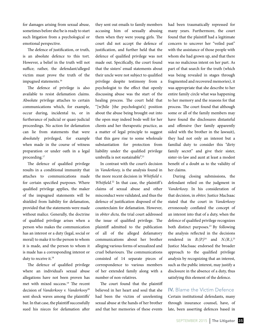for damages arising from sexual abuse, sometimes before she/he is ready to start such litigation from a psychological or emotional perspective.

The defence of justification, or truth, is an absolute defence to this tort. However, a belief in the truth will not suffice; rather, the defendant/alleged victim must prove the truth of the impugned statements.<sup>16</sup>

The defence of privilege is also available to resist defamation claims. Absolute privilege attaches to certain communications which, for example, occur during, incidental to, or in furtherance of judicial or quasi-judicial proceedings. No action for defamation can lie from statements that were absolutely privileged, for example when made in the course of witness preparation or under oath in a legal proceeding.17

The defence of qualified privilege results in a conditional immunity that attaches to communications made for certain specified purposes. Where qualified privilege applies, the maker of the impugned statements will be shielded from liability for defamation, provided that the statements were made without malice. Generally, the doctrine of qualified privilege arises when a person who makes the communication has an interest or a duty (legal, social or moral) to make it to the person to whom it is made, and the person to whom it is made has a corresponding interest or duty to receive it.<sup>18</sup>

The defence of qualified privilege where an individual's sexual abuse allegations have not been proven has met with mixed success.19 The recent decision of *Vanderkooy v. Vanderkooy*<sup>20</sup> sent shock waves among the plaintiffs' bar. In that case, the plaintiff successfully sued his nieces for defamation after they sent out emails to family members accusing him of sexually abusing them when they were young girls. The court did not accept the defence of justification, and further held that the defence of qualified privilege was not made out. Specifically, the court found that the sisters' email statements about their uncle were not subject to qualified privilege despite testimony from a psychologist to the effect that openly discussing abuse was the start of the healing process. The court held that "[w]hile [the psychologist's] position about the abuse being brought out into the open may indeed bode well for her clients and her therapeutic practice, as a matter of legal principle to suggest that this gave rise to some wholesale substantiation for protection from liability under the qualified privilege umbrella is not sustainable".<sup>21</sup>

In contrast with the court's decision in *Vanderkooy,* is the analysis found in the more recent decision in *Whitfield v. Whitfield.*<sup>22</sup> In that case, the plaintiff's claims of sexual abuse and other misconduct were validated, and thus the defence of justification disposed of the counterclaim for defamation. However, in *obiter dicta,* the trial court addressed the issue of qualified privilege. The plaintiff admitted to the publication of all of the alleged defamatory communications about her brother alleging various forms of sexualized and cruel behaviours. The communications consisted of 14 separate pieces of correspondence to various members of her extended family along with a number of non-relatives.

The court found that the plaintiff believed in her heart and soul that she had been the victim of unrelenting sexual abuse at the hands of her brother and that her memories of these events

had been traumatically repressed for many years. Furthermore, the court found that the plaintiff had a legitimate concern to uncover her "veiled past" with the assistance of those people with whom she had grown up, and that there was no malicious intent on her part. As part of that search for the truth (which was being revealed in stages through fragmented and recovered memories), it was appropriate that she describe to her entire family circle what was happening to her memory and the reasons for that process. The court found that although some or all of the family members may have found the disclosures distasteful and offensive (her family apparently sided with the brother in the lawsuit), they had not only an interest but a familial duty to consider this "dirty family secret" and give their sister, sister-in-law and aunt at least a modest benefit of a doubt as to the validity of her claims.

During closing submissions, the defendant relied on the judgment in *Vanderkooy.* In his consideration of that decision, in *obiter,* Justice MacIsaac stated that the court in *Vanderkooy*  erroneously conflated the concept of an interest into that of a duty, when the defence of qualified privilege recognizes both distinct purposes.<sup>23</sup> By following the analysis reflected in the decisions rendered in *B.(P.)*24 and *N.(R.)*, 25 Justice MacIsaac endorsed the broader approach to the qualified privilege analysis by recognizing that an interest, such as the public interest, may justify a disclosure in the absence of a duty, thus satisfying this element of the defence.

#### IV. Blame the Victim Defence

Certain institutional defendants, many through insurance counsel, have, of late, been asserting defences based in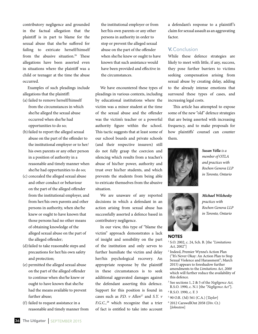contributory negligence and grounded in the factual allegation that the plaintiff is in part to blame for the sexual abuse that she/he suffered for failing to extricate herself/himself from the abusive situation.<sup>26</sup> These allegations have been asserted even in situations where the plaintiff was a child or teenager at the time the abuse occurred.

Examples of such pleadings include allegations that the plaintiff:

- (a) failed to remove herself/himself from the circumstances in which she/he alleged the sexual abuse occurred when she/he had opportunities to do so;
- (b) failed to report the alleged sexual abuse on the part of the offender to the institutional employer or to her/ his own parents or any other person in a position of authority in a reasonable and timely manner when she/he had opportunities to do so;
- (c) concealed the alleged sexual abuse and other conduct or behaviour on the part of the alleged offender from the institutional employer, and from her/his own parents and other persons in authority, when she/he knew or ought to have known that those persons had no other means of obtaining knowledge of the alleged sexual abuse on the part of the alleged offender;
- (d) failed to take reasonable steps and precautions for her/his own safety and protection;
- (e) permitted the alleged sexual abuse on the part of the alleged offender to continue when she/he knew or ought to have known that she/he had the means available to prevent further abuse;
- (f) failed to request assistance in a reasonable and timely manner from

the institutional employer or from her/his own parents or any other persons in authority in order to stop or prevent the alleged sexual abuse on the part of the offender when she/he knew or ought to have known that such assistance would have been provided and effective in the circumstances.

We have encountered these types of pleadings in various contexts, including by educational institutions where the victim was a minor student at the time of the sexual abuse and the offender was the victim's teacher or a powerful authority figure within the school. This tactic suggests that at least some of our school boards and private schools (and their respective insurers) still do not fully grasp the coercion and silencing which results from a teacher's abuse of his/her power, authority and trust over his/her students, and which prevents the students from being able to extricate themselves from the abusive situation.

We are unaware of any reported decisions in which a defendant in an action arising from sexual abuse has successfully asserted a defence based in contributory negligence.

In our view, this type of "blame the victim" approach demonstrates a lack of insight and sensibility on the part of the institution and only serves to further humiliate the victim and delay her/his psychological recovery. An appropriate response by the plaintiff in these circumstances is to seek additional aggravated damages against the defendant asserting this defence. Support for this position is found in cases such as *P.D.*  $\nu$  *Allen<sup>27</sup>* and *S.Y.*  $\nu$ *F.G.C.,*28 which recognize that a trier of fact is entitled to take into account a defendant's response to a plaintiff 's claim for sexual assault as an aggravating factor.

#### V.Conclusion

While these defence strategies are likely to meet with little, if any, success, they pose further barriers to victims seeking compensation arising from sexual abuse by creating delay, adding to the already intense emotions that surround these types of cases, and increasing legal costs.

This article has attempted to expose some of the new "old" defence strategies that are being asserted with increasing frequency, and to make proposals for how plaintiffs' counsel can counter them.



*Susan Vella is a member of OTLA and practices with Rochon Genova LLP in Toronto, Ontario*



*Michael Wilchesky practices with Rochon Genova LLP in Toronto, Ontario*

#### **NOTES**

- 1 S.O. 2002, c. 24, Sch. B. [the *"Limitations Act,* 2002"]
- 2 Indeed, Premier Wynne's Action Plan ("It's Never Okay: An Action Plan to Stop Sexual Violence and Harassment"; March 2015) appears to foreshadow further amendments to the *Limitations Act, 2000* which will further reduce the availability of this defence.
- 3 See sections 1, 2 & 5 of the *Negligence Act,*  R.S.O. 1990, c. N.1 [the *"Negligence Act"*]. 4 R.S.O. 1990, c. F. 3
- 
- 5 90 O.R. (3d) 561 (C.A.) [*Taylor*] 6 2012 CarswellOnt 2058 (Div. Ct.) [*Johnston*]